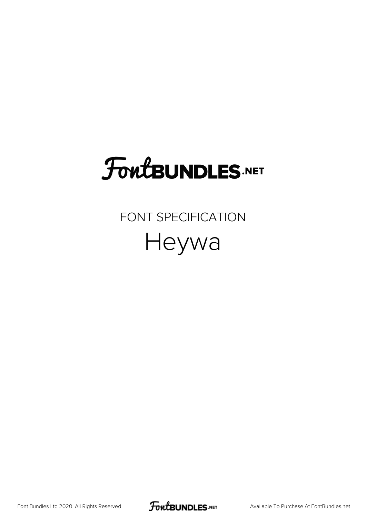# **FoutBUNDLES.NET**

#### FONT SPECIFICATION Heywa

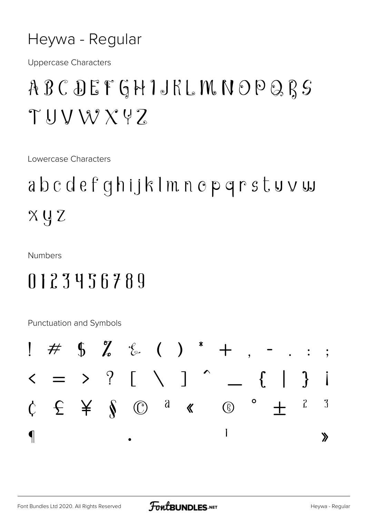#### Heywa - Regular

**Uppercase Characters** 

### ABCDEFGHIJKLMNOPQRS  $TUVWXYZ$

Lowercase Characters

## abcdefghijklmnopgrstuvw  $X \cup Z$

**Numbers** 

#### 0123456789

Punctuation and Symbols

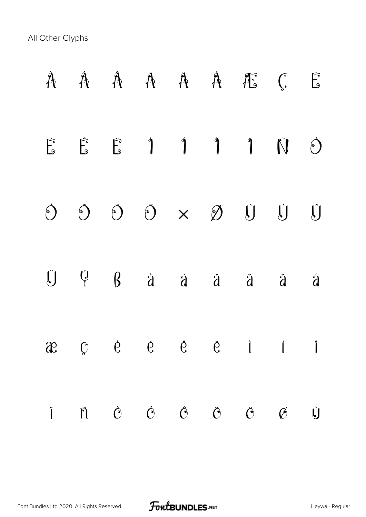All Other Glyphs

|                |  |  | A A A A A A A E C                                                                                                                                                                                                                                                                                                                                                                              |     | $\vec{F}$      |
|----------------|--|--|------------------------------------------------------------------------------------------------------------------------------------------------------------------------------------------------------------------------------------------------------------------------------------------------------------------------------------------------------------------------------------------------|-----|----------------|
|                |  |  |                                                                                                                                                                                                                                                                                                                                                                                                | Ñ Ò |                |
|                |  |  |                                                                                                                                                                                                                                                                                                                                                                                                |     | Û              |
|                |  |  | $\begin{array}{ccccccccccccccccc}\n\ddot{J} & \dot{V} & \dot{S} & \dot{S} & \dot{a} & \dot{a} & \dot{a} & \dot{a} & \dot{a} & \dot{a} & \dot{a} & \dot{a} & \dot{a} & \dot{a} & \dot{a} & \dot{a} & \dot{a} & \dot{a} & \dot{a} & \dot{a} & \dot{a} & \dot{a} & \dot{a} & \dot{a} & \dot{a} & \dot{a} & \dot{a} & \dot{a} & \dot{a} & \dot{a} & \dot{a} & \dot{a} & \dot{a} & \dot{a} & \dot{$ |     | $\mathring{d}$ |
| $\mathfrak{F}$ |  |  | $\begin{array}{ccccccccccccccccc}\n\mathbb{C} & & \mathbb{C} & & \mathbb{C} & & \mathbb{C} & & \mathbb{C} & & \mathbb{I} & & \mathbb{I}\n\end{array}$                                                                                                                                                                                                                                          |     |                |
|                |  |  | $\ddot{\textbf{i}}$ $\ddot{\textbf{n}}$ $\dot{\textbf{c}}$ $\ddot{\textbf{c}}$ $\ddot{\textbf{c}}$ $\ddot{\textbf{c}}$ $\ddot{\textbf{c}}$ $\ddot{\textbf{c}}$ $\ddot{\textbf{c}}$                                                                                                                                                                                                             |     | Ù              |